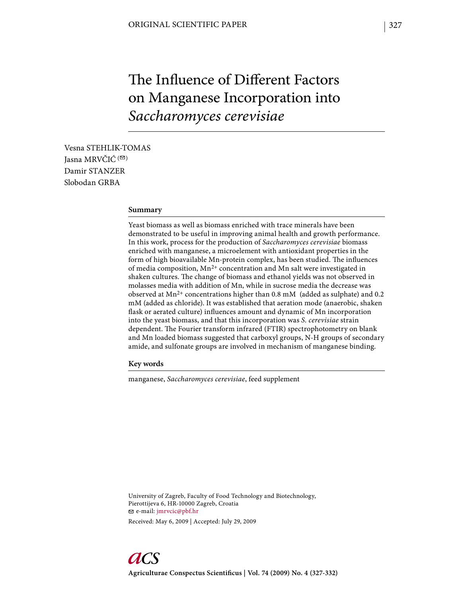# The Influence of Different Factors on Manganese Incorporation into *Saccharomyces cerevisiae*

Vesna STEHLIK-TOMAS Iasna MRVČIĆ<sup>(⊠)</sup> Damir STANZER Slobodan GRBA

## **Summary**

Yeast biomass as well as biomass enriched with trace minerals have been demonstrated to be useful in improving animal health and growth performance. In this work, process for the production of *Saccharomyces cerevisiae* biomass enriched with manganese, a microelement with antioxidant properties in the form of high bioavailable Mn-protein complex, has been studied. The influences of media composition,  $Mn^{2+}$  concentration and Mn salt were investigated in shaken cultures. The change of biomass and ethanol yields was not observed in molasses media with addition of Mn, while in sucrose media the decrease was observed at  $Mn^{2+}$  concentrations higher than 0.8 mM (added as sulphate) and 0.2 mM (added as chloride). It was established that aeration mode (anaerobic, shaken flask or aerated culture) influences amount and dynamic of Mn incorporation into the yeast biomass, and that this incorporation was *S. cerevisiae* strain dependent. The Fourier transform infrared (FTIR) spectrophotometry on blank and Mn loaded biomass suggested that carboxyl groups, N-H groups of secondary amide, and sulfonate groups are involved in mechanism of manganese binding.

**Key words**

manganese, *Saccharomyces cerevisiae*, feed supplement

University of Zagreb, Faculty of Food Technology and Biotechnology, Pierottijeva 6, HR-10000 Zagreb, Croatia e-mail: jmrvcic@pbf.hr

Received: May 6, 2009 | Accepted: July 29, 2009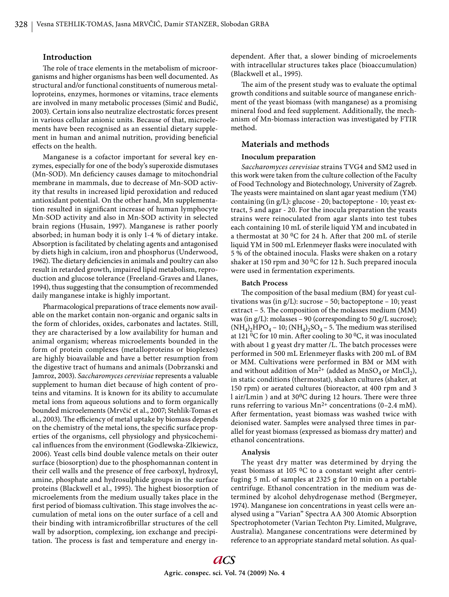## **Introduction**

The role of trace elements in the metabolism of microorganisms and higher organisms has been well documented. As structural and/or functional constituents of numerous metalloproteins, enzymes, hormones or vitamins, trace elements are involved in many metabolic processes (Simić and Budić, 2003). Certain ions also neutralize electrostatic forces present in various cellular anionic units. Because of that, microelements have been recognised as an essential dietary supplement in human and animal nutrition, providing beneficial effects on the health.

Manganese is a cofactor important for several key enzymes, especially for one of the body's superoxide dismutases (Mn-SOD). Mn deficiency causes damage to mitochondrial membrane in mammals, due to decrease of Mn-SOD activity that results in increased lipid peroxidation and reduced antioxidant potential. On the other hand, Mn supplementation resulted in significant increase of human lymphocyte Mn-SOD activity and also in Mn-SOD activity in selected brain regions (Husain, 1997). Manganese is rather poorly absorbed; in human body it is only 1-4 % of dietary intake. Absorption is facilitated by chelating agents and antagonised by diets high in calcium, iron and phosphorus (Underwood, 1962). The dietary deficiencies in animals and poultry can also result in retarded growth, impaired lipid metabolism, reproduction and glucose tolerance (Freeland-Graves and Llanes, 1994), thus suggesting that the consumption of recommended daily manganese intake is highly important.

Pharmacological preparations of trace elements now available on the market contain non-organic and organic salts in the form of chlorides, oxides, carbonates and lactates. Still, they are characterised by a low availability for human and animal organism; whereas microelements bounded in the form of protein complexes (metalloproteins or bioplexes) are highly bioavailable and have a better resumption from the digestive tract of humans and animals (Dobrzanski and Jamroz, 2003). *Saccharomyces cerevisiae* represents a valuable supplement to human diet because of high content of proteins and vitamins. It is known for its ability to accumulate metal ions from aqueous solutions and to form organically bounded microelements (Mrvčić et al., 2007; Stehlik-Tomas et al., 2003). The efficiency of metal uptake by biomass depends on the chemistry of the metal ions, the specific surface properties of the organisms, cell physiology and physicochemical influences from the environment (Godlewska-Zlkiewicz, 2006). Yeast cells bind double valence metals on their outer surface (biosorption) due to the phosphomannan content in their cell walls and the presence of free carboxyl, hydroxyl, amine, phosphate and hydrosulphide groups in the surface proteins (Blackwell et al., 1995). The highest biosorption of microelements from the medium usually takes place in the first period of biomass cultivation. This stage involves the accumulation of metal ions on the outer surface of a cell and their binding with intramicrofibrillar structures of the cell wall by adsorption, complexing, ion exchange and precipitation. The process is fast and temperature and energy independent. After that, a slower binding of microelements with intracellular structures takes place (bioaccumulation) (Blackwell et al., 1995).

The aim of the present study was to evaluate the optimal growth conditions and suitable source of manganese enrichment of the yeast biomass (with manganese) as a promising mineral food and feed supplement. Additionally, the mechanism of Mn-biomass interaction was investigated by FTIR method.

# **Materials and methods**

## **Inoculum preparation**

*Saccharomyces cerevisiae* strains TVG4 and SM2 used in this work were taken from the culture collection of the Faculty of Food Technology and Biotechnology, University of Zagreb. The yeasts were maintained on slant agar yeast medium (YM) containing (in g/L): glucose - 20; bactopeptone - 10; yeast extract, 5 and agar - 20. For the inocula preparation the yeasts strains were reinoculated from agar slants into test tubes each containing 10 mL of sterile liquid YM and incubated in a thermostat at 30  $\rm{^0C}$  for 24 h. After that 200 mL of sterile liquid YM in 500 mL Erlenmeyer flasks were inoculated with 5 % of the obtained inocula. Flasks were shaken on a rotary shaker at 150 rpm and 30  $\rm{^0C}$  for 12 h. Such prepared inocula were used in fermentation experiments.

## **Batch Process**

The composition of the basal medium (BM) for yeast cultivations was (in g/L): sucrose – 50; bactopeptone – 10; yeast extract - 5. The composition of the molasses medium (MM) was (in g/L): molasses – 90 (corresponding to 50 g/L sucrose);  $(NH_4)_2HPO_4 - 10$ ;  $(NH_4)_2SO_4 - 5$ . The medium was sterilised at 121  ${}^{0}$ C for 10 min. After cooling to 30  ${}^{0}$ C, it was inoculated with about 1 g yeast dry matter /L. The batch processes were performed in 500 mL Erlenmeyer flasks with 200 mL of BM or MM. Cultivations were performed in BM or MM with and without addition of  $Mn^{2+}$  (added as  $MnSO_4$  or  $MnCl_2$ ), in static conditions (thermostat), shaken cultures (shaker, at 150 rpm) or aerated cultures (bioreactor, at 400 rpm and 3 l air/Lmin ) and at 30<sup>0</sup>C during 12 hours. There were three runs referring to various  $Mn^{2+}$  concentrations (0–2.4 mM). After fermentation, yeast biomass was washed twice with deionised water. Samples were analysed three times in parallel for yeast biomass (expressed as biomass dry matter) and ethanol concentrations.

## **Analysis**

The yeast dry matter was determined by drying the yeast biomass at 105  $\rm{^0C}$  to a constant weight after centrifuging 5 mL of samples at 2325 g for 10 min on a portable centrifuge. Ethanol concentration in the medium was determined by alcohol dehydrogenase method (Bergmeyer, 1974). Manganese ion concentrations in yeast cells were analysed using a "Varian" Spectra AA 300 Atomic Absorption Spectrophotometer (Varian Techton Pty. Limited, Mulgrave, Australia). Manganese concentrations were determined by reference to an appropriate standard metal solution. As qual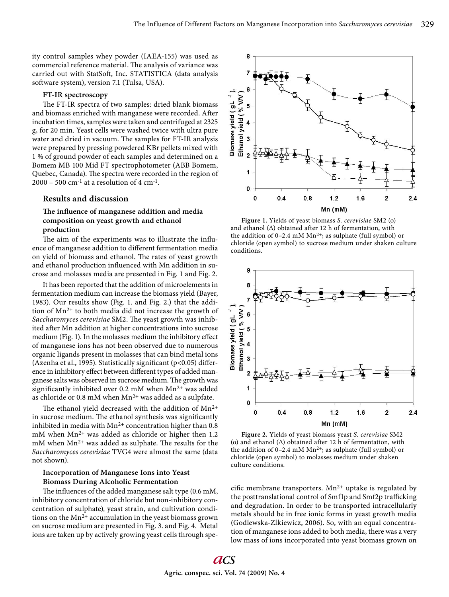ity control samples whey powder (IAEA-155) was used as commercial reference material. The analysis of variance was carried out with StatSoft, Inc. STATISTICA (data analysis soft ware system), version 7.1 (Tulsa, USA).

## **FT-IR spectroscopy**

The FT-IR spectra of two samples: dried blank biomass and biomass enriched with manganese were recorded. After incubation times, samples were taken and centrifuged at 2325 g, for 20 min. Yeast cells were washed twice with ultra pure water and dried in vacuum. The samples for FT-IR analysis were prepared by pressing powdered KBr pellets mixed with 1 % of ground powder of each samples and determined on a Bomem MB 100 Mid FT spectrophotometer (ABB Bomem, Quebec, Canada). The spectra were recorded in the region of  $2000 - 500$  cm<sup>-1</sup> at a resolution of 4 cm<sup>-1</sup>.

# **Results and discussion**

# The influence of manganese addition and media **composition on yeast growth and ethanol production**

The aim of the experiments was to illustrate the influence of manganese addition to different fermentation media on yield of biomass and ethanol. The rates of yeast growth and ethanol production influenced with Mn addition in sucrose and molasses media are presented in Fig. 1 and Fig. 2.

It has been reported that the addition of microelements in fermentation medium can increase the biomass yield (Bayer, 1983). Our results show (Fig. 1. and Fig. 2.) that the addition of Mn2+ to both media did not increase the growth of Saccharomyces cerevisiae SM2. The yeast growth was inhibited after Mn addition at higher concentrations into sucrose medium (Fig. 1). In the molasses medium the inhibitory effect of manganese ions has not been observed due to numerous organic ligands present in molasses that can bind metal ions (Azenha et al., 1995). Statistically significant ( $p$ <0.05) difference in inhibitory effect between different types of added manganese salts was observed in sucrose medium. The growth was significantly inhibited over 0.2 mM when  $Mn^{2+}$  was added as chloride or 0.8 mM when Mn<sup>2+</sup> was added as a sulpfate.

The ethanol yield decreased with the addition of  $Mn^{2+}$ in sucrose medium. The ethanol synthesis was significantly inhibited in media with  $Mn^{2+}$  concentration higher than 0.8 mM when Mn2+ was added as chloride or higher then 1.2  $m$ M when  $Mn^{2+}$  was added as sulphate. The results for the *Saccharomyces cerevisiae* TVG4 were almost the same (data not shown).

# **Incorporation of Manganese Ions into Yeast Biomass During Alcoholic Fermentation**

The influences of the added manganese salt type  $(0.6 \text{ mM})$ , inhibitory concentration of chloride but non-inhibitory concentration of sulphate), yeast strain, and cultivation conditions on the  $Mn^{2+}$  accumulation in the yeast biomass grown on sucrose medium are presented in Fig. 3. and Fig. 4. Metal ions are taken up by actively growing yeast cells through spe-



**Figure 1.** Yields of yeast biomass *S. cerevisiae* SM2 (o) and ethanol  $(\Delta)$  obtained after 12 h of fermentation, with the addition of  $0-2.4$  mM Mn<sup>2+</sup>; as sulphate (full symbol) or chloride (open symbol) to sucrose medium under shaken culture conditions.



**Figure 2.** Yields of yeast biomass yeast *S. cerevisiae* SM2 (o) and ethanol (Δ) obtained after 12 h of fermentation, with the addition of 0-2.4 mM  $Mn^{2+}$ ; as sulphate (full symbol) or chloride (open symbol) to molasses medium under shaken culture conditions.

cific membrane transporters.  $Mn^{2+}$  uptake is regulated by the posttranslational control of Smf1p and Smf2p trafficking and degradation. In order to be transported intracellularly metals should be in free ionic forms in yeast growth media (Godlewska-Zlkiewicz, 2006). So, with an equal concentration of manganese ions added to both media, there was a very low mass of ions incorporated into yeast biomass grown on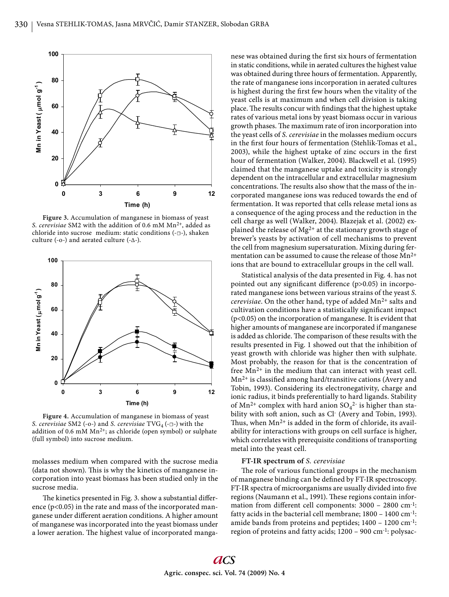

**Figure 3.** Accumulation of manganese in biomass of yeast *S. cerevisiae* SM2 with the addition of 0.6 mM Mn2+, added as chloride into sucrose medium: static conditions (-☐-), shaken culture (-o-) and aerated culture (- $\Delta$ -).



**Figure 4.** Accumulation of manganese in biomass of yeast *S. cerevisiae* SM2 (-o-) and *S. cerevisiae* TVG<sub>4</sub> (-□-) with the addition of 0.6 mM Mn<sup>2+</sup>; as chloride (open symbol) or sulphate (full symbol) into sucrose medium.

molasses medium when compared with the sucrose media (data not shown). This is why the kinetics of manganese incorporation into yeast biomass has been studied only in the sucrose media.

The kinetics presented in Fig. 3. show a substantial difference  $(p<0.05)$  in the rate and mass of the incorporated manganese under different aeration conditions. A higher amount of manganese was incorporated into the yeast biomass under a lower aeration. The highest value of incorporated manganese was obtained during the first six hours of fermentation in static conditions, while in aerated cultures the highest value was obtained during three hours of fermentation. Apparently, the rate of manganese ions incorporation in aerated cultures is highest during the first few hours when the vitality of the yeast cells is at maximum and when cell division is taking place. The results concur with findings that the highest uptake rates of various metal ions by yeast biomass occur in various growth phases. The maximum rate of iron incorporation into the yeast cells of *S. cerevisiae* in the molasses medium occurs in the first four hours of fermentation (Stehlik-Tomas et al., 2003), while the highest uptake of zinc occurs in the first hour of fermentation (Walker, 2004). Blackwell et al. (1995) claimed that the manganese uptake and toxicity is strongly dependent on the intracellular and extracellular magnesium concentrations. The results also show that the mass of the incorporated manganese ions was reduced towards the end of fermentation. It was reported that cells release metal ions as a consequence of the aging process and the reduction in the cell charge as well (Walker, 2004). Blazejak et al. (2002) explained the release of  $Mg^{2+}$  at the stationary growth stage of brewer's yeasts by activation of cell mechanisms to prevent the cell from magnesium supersaturation. Mixing during fermentation can be assumed to cause the release of those  $Mn^{2+}$ ions that are bound to extracellular groups in the cell wall.

Statistical analysis of the data presented in Fig. 4. has not pointed out any significant difference  $(p>0.05)$  in incorporated manganese ions between various strains of the yeast *S. cerevisiae*. On the other hand, type of added Mn<sup>2+</sup> salts and cultivation conditions have a statistically significant impact (p<0.05) on the incorporation of manganese. It is evident that higher amounts of manganese are incorporated if manganese is added as chloride. The comparison of these results with the results presented in Fig. 1 showed out that the inhibition of yeast growth with chloride was higher then with sulphate. Most probably, the reason for that is the concentration of free  $Mn^{2+}$  in the medium that can interact with yeast cell.  $Mn^{2+}$  is classified among hard/transitive cations (Avery and Tobin, 1993). Considering its electronegativity, charge and ionic radius, it binds preferentially to hard ligands. Stability of  $Mn^{2+}$  complex with hard anion  $SO_4^{2-}$  is higher than stability with soft anion, such as Cl- (Avery and Tobin, 1993). Thus, when  $Mn^{2+}$  is added in the form of chloride, its availability for interactions with groups on cell surface is higher, which correlates with prerequisite conditions of transporting metal into the yeast cell.

#### **FT-IR spectrum of** *S. cerevisiae*

The role of various functional groups in the mechanism of manganese binding can be defi ned by FT-IR spectroscopy. FT-IR spectra of microorganisms are usually divided into five regions (Naumann et al., 1991). These regions contain information from different cell components:  $3000 - 2800$  cm<sup>-1</sup>: fatty acids in the bacterial cell membrane; 1800 – 1400 cm-1: amide bands from proteins and peptides; 1400 – 1200 cm-1: region of proteins and fatty acids; 1200 – 900 cm-1: polysac-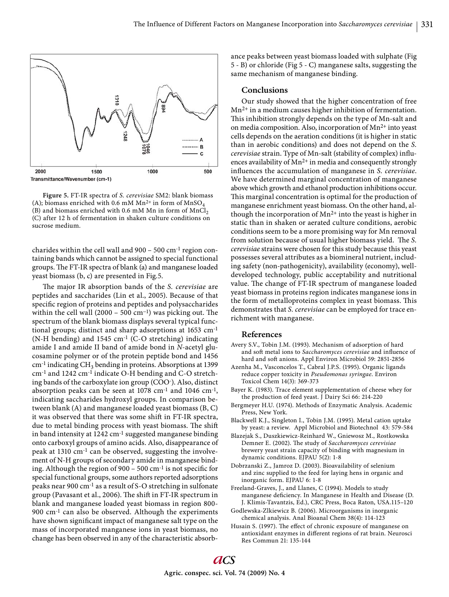

**Figure 5.** FT-IR spectra of *S. cerevisiae* SM2: blank biomass (A); biomass enriched with 0.6 mM Mn<sup>2+</sup> in form of MnSO<sub>4</sub> (B) and biomass enriched with 0.6 mM Mn in form of  $MnCl<sub>2</sub>$ (C) after 12 h of fermentation in shaken culture conditions on sucrose medium.

charides within the cell wall and 900 – 500 cm-1 region containing bands which cannot be assigned to special functional groups. The FT-IR spectra of blank (a) and manganese loaded yeast biomass (b, c) are presented in Fig.5.

The major IR absorption bands of the *S. cerevisiae* are peptides and saccharides (Lin et al., 2005). Because of that specific region of proteins and peptides and polysaccharides within the cell wall (2000 – 500 cm<sup>-1</sup>) was picking out. The spectrum of the blank biomass displays several typical functional groups; distinct and sharp adsorptions at 1653 cm-1 (N-H bending) and 1545 cm-1 (C-O stretching) indicating amide I and amide II band of amide bond in *N*-acetyl glucosamine polymer or of the protein peptide bond and 1456 cm<sup>-1</sup> indicating CH<sub>3</sub> bending in proteins. Absorptions at 1399 cm-1 and 1242 cm-1 indicate O-H bending and C-O stretching bands of the carboxylate ion group (COO- ). Also, distinct absorption peaks can be seen at  $1078$  cm<sup>-1</sup> and  $1046$  cm<sup>-1</sup>, indicating saccharides hydroxyl groups. In comparison between blank (A) and manganese loaded yeast biomass (B, C) it was observed that there was some shift in FT-IR spectra, due to metal binding process with yeast biomass. The shift in band intensity at 1242 cm-1 suggested manganese binding onto carboxyl groups of amino acids. Also, disappearance of peak at 1310 cm-1 can be observed, suggesting the involvement of N-H groups of secondary amide in manganese binding. Although the region of 900 – 500 cm $^{-1}$  is not specific for special functional groups, some authors reported adsorptions peaks near 900 cm-1 as a result of S-O stretching in sulfonate group (Pavasant et al., 2006). The shift in FT-IR spectrum in blank and manganese loaded yeast biomass in region 800- 900 cm-1 can also be observed. Although the experiments have shown significant impact of manganese salt type on the mass of incorporated manganese ions in yeast biomass, no change has been observed in any of the characteristic absorbance peaks between yeast biomass loaded with sulphate (Fig 5 - B) or chloride (Fig 5 - C) manganese salts, suggesting the same mechanism of manganese binding.

# **Conclusions**

Our study showed that the higher concentration of free Mn2+ in a medium causes higher inhibition of fermentation. This inhibition strongly depends on the type of Mn-salt and on media composition. Also, incorporation of Mn2+ into yeast cells depends on the aeration conditions (it is higher in static than in aerobic conditions) and does not depend on the *S. cerevisiae* strain. Type of Mn-salt (stability of complex) influences availability of  $Mn^{2+}$  in media and consequently strongly influences the accumulation of manganese in *S. cerevisiae*. We have determined marginal concentration of manganese above which growth and ethanol production inhibitions occur. This marginal concentration is optimal for the production of manganese enrichment yeast biomass. On the other hand, although the incorporation of  $Mn^{2+}$  into the yeast is higher in static than in shaken or aerated culture conditions, aerobic conditions seem to be a more promising way for Mn removal from solution because of usual higher biomass yield. The *S*. *cerevisiae* strains were chosen for this study because this yeast possesses several attributes as a biomineral nutrient, including safety (non-pathogenicity), availability (economy), welldeveloped technology, public acceptability and nutritional value. The change of FT-IR spectrum of manganese loaded yeast biomass in proteins region indicates manganese ions in the form of metalloproteins complex in yeast biomass. This demonstrates that *S. cerevisiae* can be employed for trace enrichment with manganese.

## **References**

- Avery S.V., Tobin J.M. (1993). Mechanism of adsorption of hard and soft metal ions to *Saccharomyces cerevisiae* and influence of hard and soft anions. Appl Environ Microbiol 59: 2851-2856
- Azenha M., Vasconcelos T., Cabral J.P.S. (1995). Organic ligands reduce copper toxicity in *Pseudomonas syringae*. Environ Toxicol Chem 14(3): 369-373
- Bayer K. (1983). Trace element supplementation of cheese whey for the production of feed yeast. J Dairy Sci 66: 214-220
- Bergmeyer H.U. (1974). Methods of Enzymatic Analysis. Academic Press, New York.
- Blackwell K.J., Singleton I., Tobin J.M. (1995). Metal cation uptake by yeast: a review. Appl Microbiol and Biotechnol 43: 579-584
- Blazejak S., Duszkiewicz-Reinhard W., Gniewosz M., Rostkowska Demner E. (2002). The study of *Saccharomyces cerevisiae* brewery yeast strain capacity of binding with magnesium in dynamic conditions. EJPAU 5(2): 1-8
- Dobrzanski Z., Jamroz D. (2003). Bioavailability of selenium and zinc supplied to the feed for laying hens in organic and inorganic form. EJPAU 6: 1-8
- Freeland-Graves, J., and Llanes, C (1994). Models to study manganese deficiency. In Manganese in Health and Disease (D. J. Klimis-Tavantzis, Ed.), CRC Press, Boca Raton, USA.115–120
- Godlewska-Zlkiewicz B. (2006). Microorganisms in inorganic chemical analysis. Anal Bioanal Chem 38(4): 114-123
- Husain S. (1997). The effect of chronic exposure of manganese on antioxidant enzymes in different regions of rat brain. Neurosci Res Commun 21: 135-144